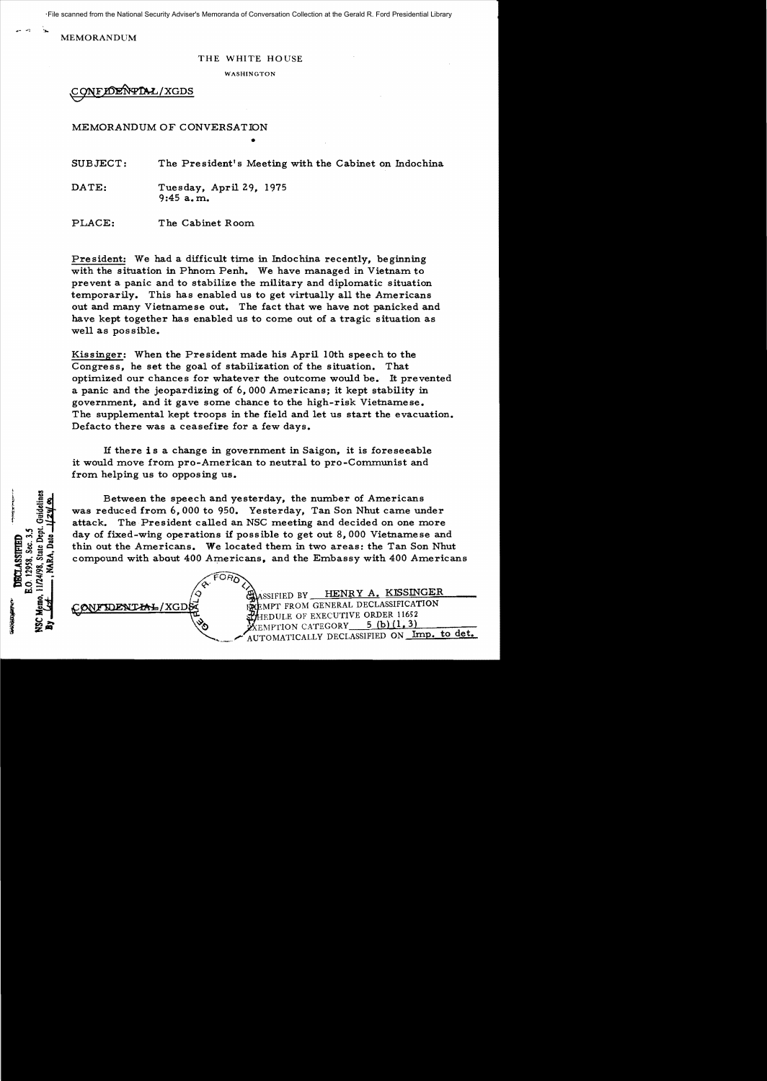File scanned from the National Security Adviser's Memoranda of Conversation Collection at the Gerald R. Ford Presidential Library

MEMORANDUM

## THE WHITE HOUSE

WASHINGTON

**CONFIDENTIAL/XGDS** 

MEMORANDUM OF CONVERSATION

SUBJECT: The President's Meeting with the Cabinet on Indochina

•

DATE: Tuesday, April 29, 1975 9:45 a. m..

PLACE: The Cabinet Room.

President: We had a difficult time in Indochina recently, beginning with the situation in Phnom Penh. We have managed in Vietnam to prevent a panic and to stabilize the military and diplomatic situation temporarily. This has enabled us to get virtually all the Americans out and many Vietnamese out. The fact that we have not panicked and have kept together has enabled us to come out of a tragic situation as well as possible.

Kissinger: When the President made his April 10th speech to the Congress, he set the goal of stabilization of the situation. That optimized our chances for whatever the outcome would be. It prevented a panic and the jeopardizing of  $6,000$  Americans; it kept stability in government, and it gave some chance to the high-risk Vietnamese. The supplemental kept troops in the field and let us start the evacuation. Defacto there was a ceasefire for a few days.

If there is a change in government in Saigon, it is foreseeable it would move from pro-American to neutral to pro-Communist and from. helping us to opposing us.

FORD

Between the speech and yesterday, the number of Americans was reduced from  $6,000$  to 950. Yesterday, Tan Son Nhut came under attack. The President called an NSC meeting and decided on one more day of fixed-wing operations if possible to get out  $8,000$  Vietnamese and thin out the Americans. We located them in two areas: the Tan Son Nhut compound with about 400 Americans. and the Embassy with 400 Americans



 $\ll$   $\sim$   $\langle \rangle$ ASSIFIED BY HENRY A. KISSINGER CONFIDENTIAL/XGDE DERENPT FROM GENERAL DECLASSIFICATION EDULE OF EXECUTIVE ORDER 11652 EXEMPTION CATEGORY 5 (b) (1, 3)<br>AUTOMATICALLY DECLASSIFIED ON Imp. to det.

E.O. 12958, Sec. 3.5 DRCT.ASSIFIEL State I 11/24/98, PACKAGE AND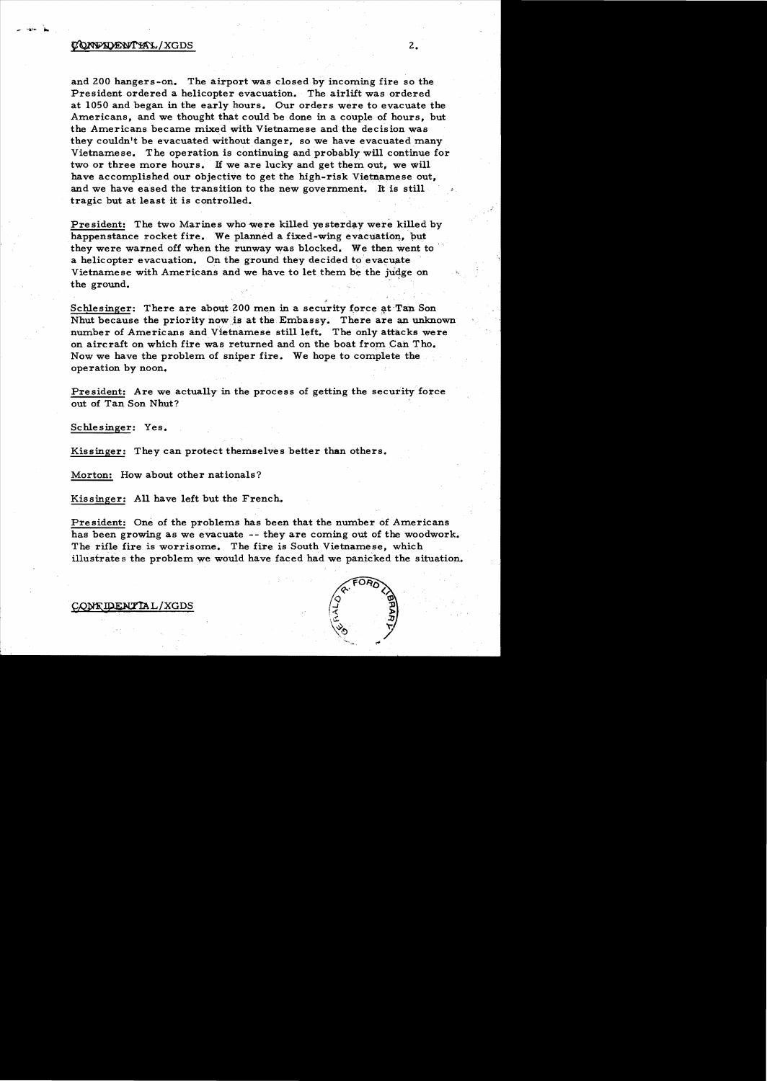## ~/XGDS 2.

and ZOO hangers-on. The airport was closed by incoming fire so the President ordered a helicopter evacuation. The airlift was ordered at 1050 and began in the early hours. Our orders were to evacuate the Americans, and we thought that could be done in a couple of hours, but the Americans became mixed with Vietnamese and the decision was they couldn't be evacuated without danger, so we have evacuated many Vietnamese. The operation is continuing and probably will continue for two or three more hours. If we are lucky and get them out, we will have accomplished our objective to get the high-risk Vietnamese out, and we have eased the transition to the new government. It is still tragic but at least it is controlled.

President: The two Marines who were killed yesterday were killed by happenstance rocket fire. We planned a fixed-wing evacuation, but they were warned off when the runway was blocked. We then went to a helicopter evacuation. On the ground they decided to evacuate Vietnamese with Americans and we have to let them be the judge on the ground.

Schlesinger: There are about 200 men in a security force at Tan Son Nhut because the priority nowjs at the Embassy. There are an unknown number of Americans and Vietnamese still left. The only attacks were on aircraft on which fire was returned and on the boat from Can Tho. Now we have the problem of sniper fire. We hope to complete the operation by noon.

President: Are we actually in the process of getting the security force out of Tan Son Nhut?

Schlesinger: Yes.

Kissinger: They can protect themselves better than others.

Morton: How about other nationals?

Kissinger: A11 have left but the French.

President: One of the problems has been that the number of Americans has been growing as we evacuate -- they are coming out of the woodwork. The rifle fire is worrisome. The fire is South Vietnamese, which illustrates the problem we would have faced had we panicked the situation.



CONTIDENTIAL/XGDS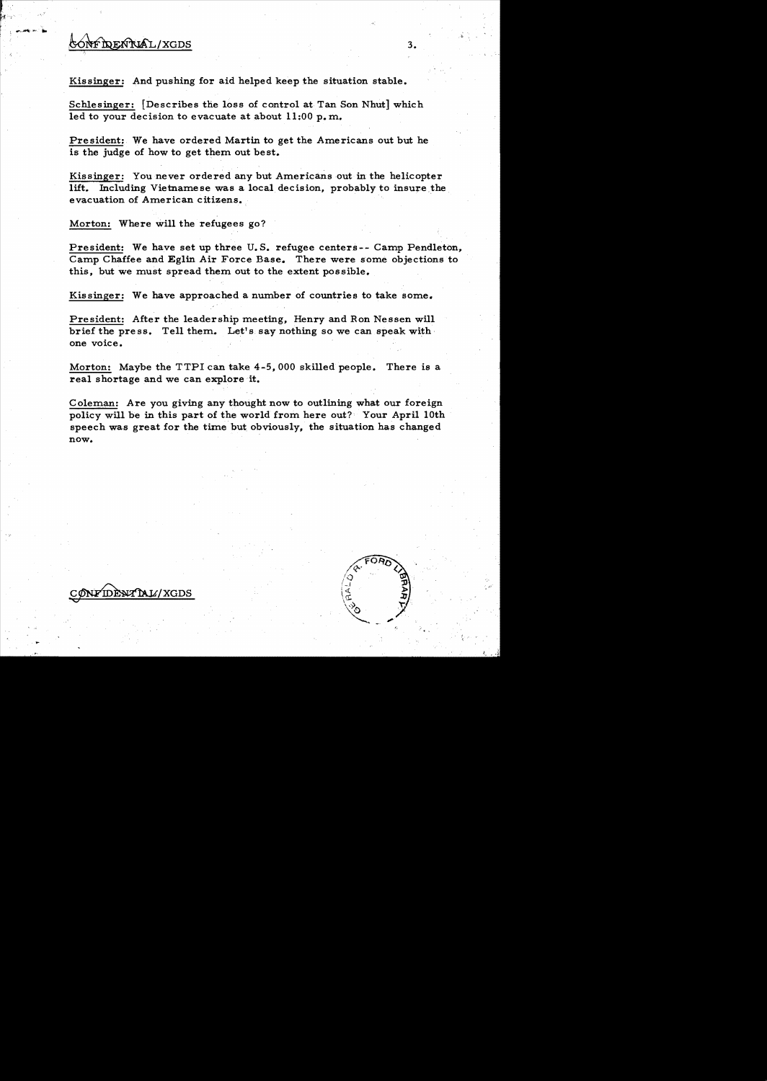## ONFIDENTUAL/XGDS
3.

Kissinger: And pushing for aid helped keep the situation stable.

Schlesinger: [Describes the loss of control at Tan Son Nhut] which led to your decision to evacuate at about  $11:00$  p.m.

President: We have ordered Martin to get the Americans out but he is the judge of how to get them out be st.

Kissinger: You never ordered any but Americans out in the helicopter lift. Including Vietnamese was a local decision, probably to insure the evacuation of American citizens.

Morton: Where will the refugees go?

President: We have set up three U. S. refugee centers-- Camp Pendleton, Camp Chaffee and Eglin Air Force Base.. There were some objections to this, but we must spread them out to the extent possible.

Kissinger: We have approached a number of countries to take some.

President: After the leadership meeting, Henry and Ron Nessen will brief the press. Tell them. Let's say nothing so we can speak with one voice.

Morton: Maybe the TTPI can take 4-5,000 skilled people. There is a real shortage and we can explore it.

Coleman: Are you giving any thought now to outlining what our foreign policy will be in this part of the world from here out? Your April 10th speech was great for the time but. obviously, the situation has changed now.

NFIDÈNT NI L'AGDS

 $"$ 

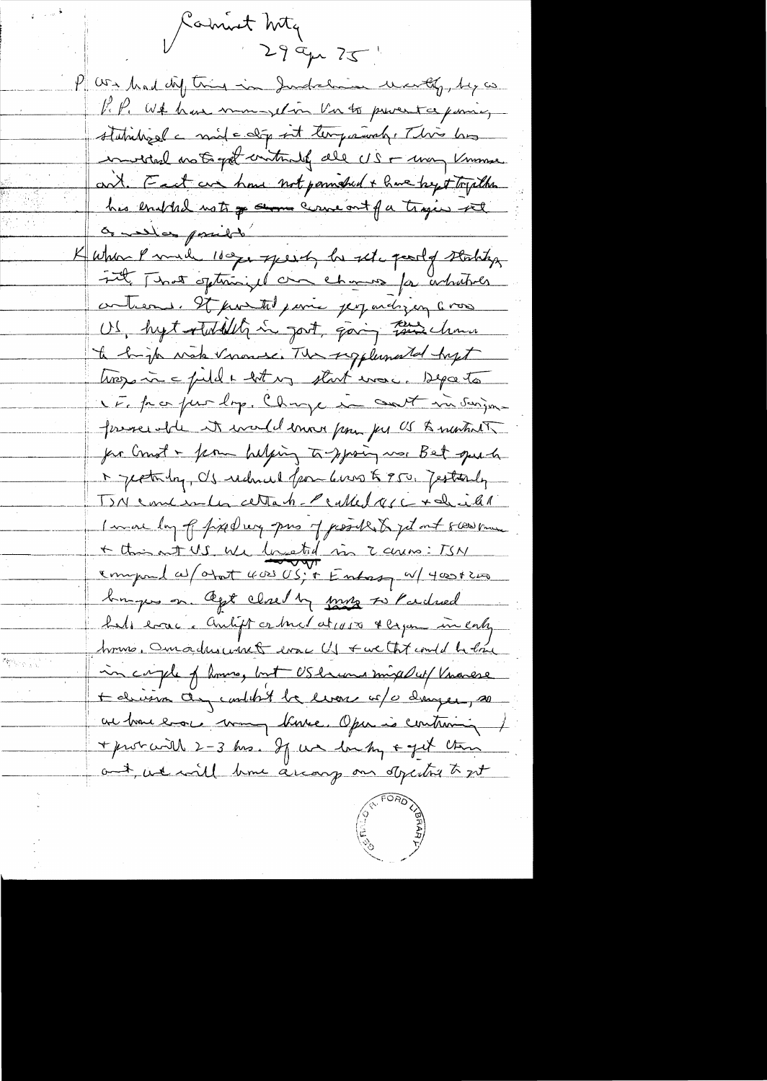Camint Mty  $299427$ P are had diff this in Judelie world, by a P.P. White have mongetion Vir to provent a poince, statistiquel a mile déput tempoient. This has invited not get intende all US + may know ant. Feet are home not pounded + have by + Toplan his enighed not of some concont for trajes set or medical possible Kuha Parah 100go speech he set party stating int That ofteninged and chances for arbitrals contrems. It protected paris per undiging a more US, hytatulity in gort, going this chance to bright water names The sugglemental hyst trosparin = field + lot un start more. Deposito NE partie lop. Change in cont in surject foreseed the it would enough for US & mentioned for Crust - form helping to sproing was Bet que to 1 jestada, US reduced for 6 mos & 950, Jestanly TIN concenter cettant Pcalled age + dicht I wave by of fixed wy pas of possible to jet out sweet me + this out US We located in 2 curso: TSN empond as otat 4000 US; + Entresy a 4000+200 burges on Ogt closed by myse to Pardred half error. Anligt or buch at 1050 & began in caly home, Omadusuret evac US & we the could be love in caple of home, but US huma mixal up V marese Habrison any control be liver of a diager, so en bon evoc man bruce. Oper is contronni + probabil 2-3 hrs. If we looky + get this and we will have accomp on objecting to get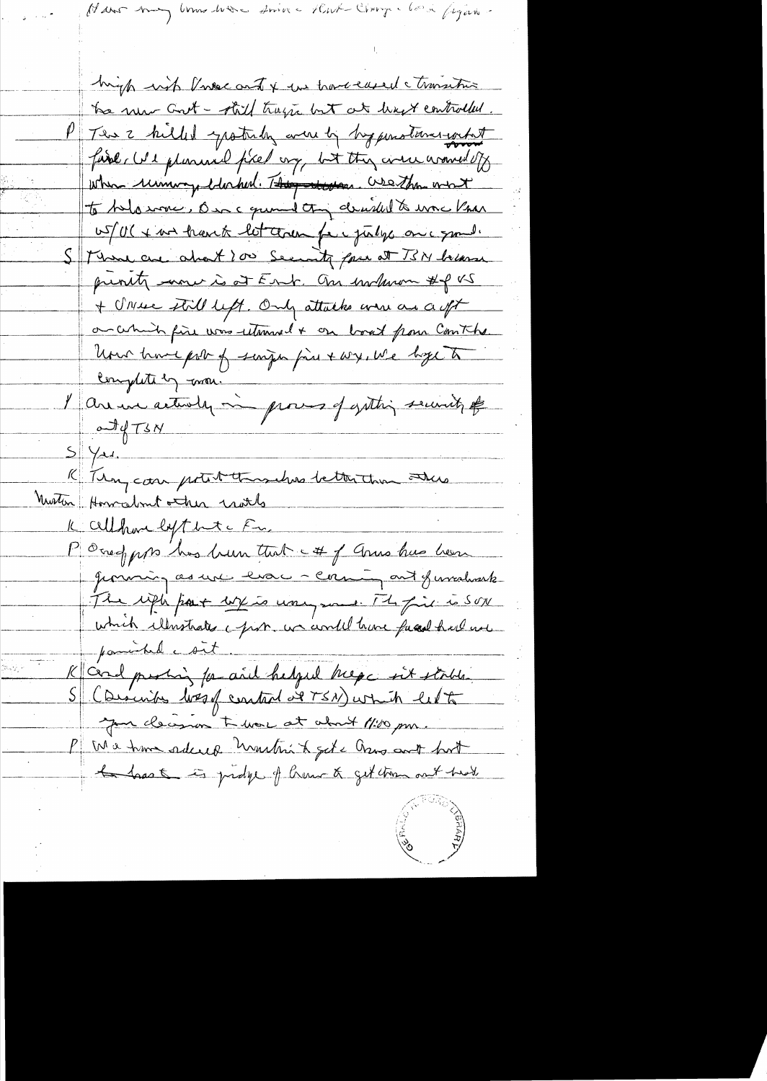Hans may low have since that Change look figure.

high with Prosec and & we have eased a transitive the new Goot - still trage but at least controlled. This 2 killed spottaly were by hyperstand what fine, We plumine fixed ony, but they were around of when unimagedoched. They down. We then most to belowner, One comment of decided to war Vnan US/U(+ nor trans let come fer julys once your Than are about 200 Security four at TSN because previty more is at Ent. On inclusion #f x5 + Unsee thill left. Only attacks are as a oft on certainly fire was retired + on boat from Comthe Uno have pour of singer fine & wy, we hope to Completely mon. l'avenue actuale mi promo of gathing security of  $T_{4}T_{3}N$  $5\frac{1}{4}$ K Tien, can potent thousands better than others Nustin Horralmit other world Kallhare by that Fr. Poney pp has been that et of anna has been Jemming as une les caming ont functions The with part with to wany med. The first to SON which illustrates a prob. we would have faced had not parable sit K and puring for and helped hege intertals. S (Discribes lossof control at TSN) which let your cleanon to more at about 11:00 pm. P Ma have ordered unition of a Group and boot hast is proble of home & get tom out had